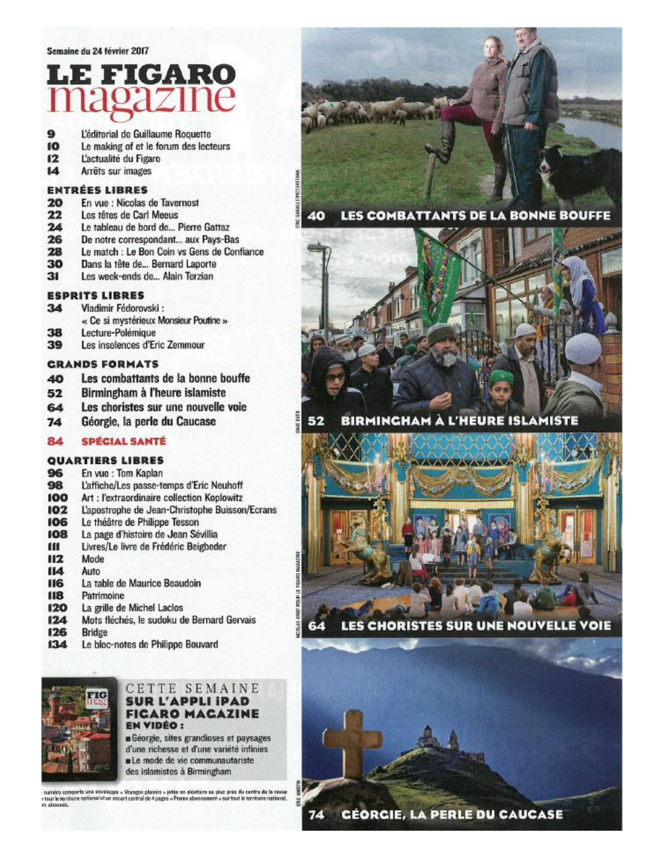# E FIGARO

- L'éditorial de Guillaume Roquette 9
- 10 Le making of et le forum des lecteurs
- $12$ L'actualité du Figaro
- $\overline{14}$ Arrêts sur images

#### **ENTRÉES LIBRES**

- 20 En vue : Nicolas de Tavernost
- $22$ Les têtes de Carl Meeus
- $24$ Le tableau de bord de... Pierre Gattaz
- 26 De notre correspondant... aux Pays-Bas
- 28 Le match : Le Bon Coin vs Gens de Confiance
- 30 Dans la tête de... Bernard Laporte
- $31$ Les week-ends de... Alain Terzian

#### **ESPRITS LIBRES**

- $34$ Vladimir Fédorovski :
- « Ce si mystérieux Monsieur Poutine »
- 38 Lecture-Polémique
- 39 Les insolences d'Eric Zemmour

#### *GRANDS FORMATS*

- Les combattants de la bonne bouffe 40
- Birmingham à l'heure islamiste 52
- Les choristes sur une nouvelle voie 64
- $74$ Géorgie, la perle du Caucase

#### **SPÉCIAL SANTÉ** 84

### **OUARTIERS LIBRES**

- 96 En vue : Tom Kaplan
- L'affiche/Les passe-temps d'Eric Neuhoff 98
- 100 Art : l'extraordinaire collection Koplowitz
- 102 L'apostrophe de Jean-Christophe Buisson/Ecrans
- Le théâtre de Philippe Tesson 106
- 108 La page d'histoire de Jean Sévillia
- ш Livres/Le livre de Frédéric Beigbeder
- $II2$ Mode
- 114 Auto
- La table de Maurice Beaudoin 116
- 118 Patrimoine
- 120 La grille de Michel Laclos
- 124 Mots fléchés, le sudoku de Bernard Gervais
- 126 Bridge
- $134$ Le bloc-notes de Philippe Bouvard



#### ETTE SEMAINE **SUR L'APPLI IPAD FICARO MACAZINE EN VIDÉO :**

Géorgie, sites grandioses et paysages d'une richesse et d'une variété infinies Le mode de vie communautariste des islamistes à Birmingham

numéro comports use enveloppe « Voyagno plaisins » jetée en aldatoire su plas prés du centre de la revue<br>risul le territoire national et un encert control do 4 pages » Prone abonnoment » our tout le territoire national. rs shown



LES COMBATTANTS DE LA BONNE BOUFFE 40



**BIRMINGHAM À L'HEURE ISLAMISTE** 52



LES CHORISTES SUR UNE NOUVELLE VOIE

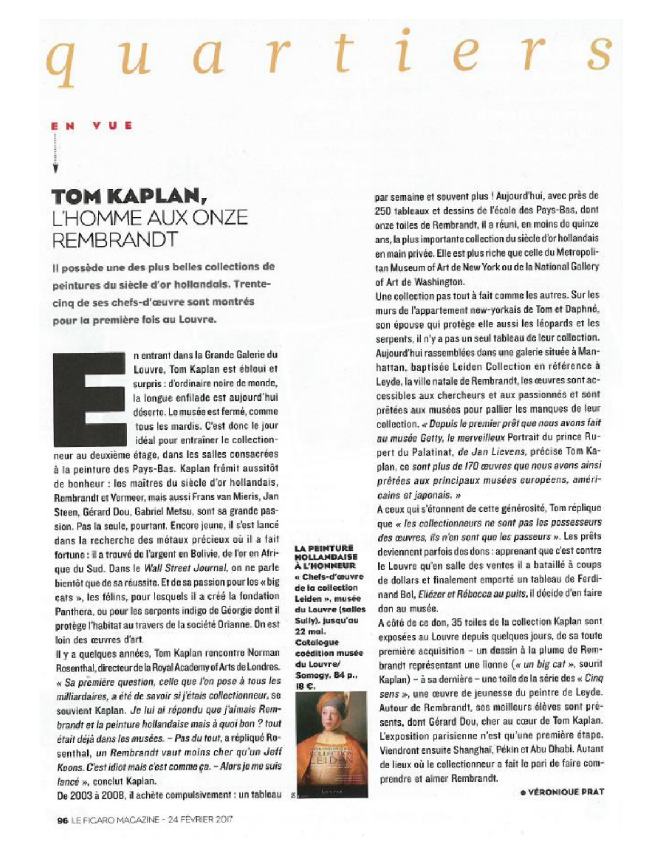## $a r t e r$

## TOM KAPLAN. L'HOMME AUX ONZE **REMBRANDT**

Il possède une des plus belles collections de peintures du siècle d'or hollandais. Trentecinq de ses chefs-d'œuvre sont montrés pour la première fois au Louvre.



n entrant dans la Grande Galerie du Louvre, Tom Kaplan est ébloui et surpris : d'ordinaire noire de monde, la longue enfilade est aujourd'hui déserte. Le musée est fermé, comme tous les mardis. C'est donc le jour idéal pour entraîner le collection-

neur au deuxième étage, dans les salles consacrées à la peinture des Pays-Bas. Kaplan frémit aussitôt de bonheur : les maîtres du siècle d'or hollandais. Rembrandt et Vermeer, mais aussi Frans van Mieris, Jan Steen, Gérard Dou, Gabriel Metsu, sont sa grande passion. Pas la seule, pourtant. Encore jeune, il s'est lancé dans la recherche des métaux précieux où il a fait fortune : il a trouvé de l'argent en Bolivie, de l'or en Afrique du Sud. Dans le Wall Street Journal, on ne parle bientôt que de sa réussite. Et de sa passion pour les « big cats », les félins, pour lesquels il a créé la fondation Panthera, ou pour les serpents indigo de Géorgie dont il protège l'habitat au travers de la société Orianne. On est loin des œuvres d'art.

Il y a quelques années, Tom Kaplan rencontre Norman Rosenthal, directeur de la Royal Academy of Arts de Londres. « Sa première question, celle que l'on pose à tous les milliardaires, a été de savoir si j'étais collectionneur, se souvient Kaplan. Je lui ai répondu que j'aimais Rembrandt et la peinture hollandaise mais à quoi bon ? tout était déjà dans les musées. - Pas du tout, a répliqué Rosenthal, un Rembrandt vaut moins cher qu'un Jeff Koons. C'est idiot mais c'est comme ça. - Alors je me suis lancé », conclut Kaplan.

De 2003 à 2008, il achète compulsivement : un tableau

**A PEINTURE HOLLANDAISE** À L'HONNEUR « Chefs-d'œuvre

de la collection Leiden », musée du Louvre (salles Sully), jusqu'au 22 mai. Catalogue coédition musée du Louvre/ Somogy, 84 p.,



par semaine et souvent plus ! Aujourd'hui, avec près de 250 tableaux et dessins de l'école des Pays-Bas, dont onze toiles de Rembrandt, il a réuni, en moins de quinze ans, la plus importante collection du siècle d'or hollandais en main privée. Elle est plus riche que celle du Metropolitan Museum of Art de New York ou de la National Gallery of Art de Washington.

Une collection pas tout à fait comme les autres. Sur les murs de l'appartement new-yorkais de Tom et Daphné, son épouse qui protège elle aussi les léopards et les serpents, il n'y a pas un seul tableau de leur collection. Aujourd'hui rassemblées dans une galerie située à Manhattan, baptisée Leiden Collection en référence à Leyde, la ville natale de Rembrandt, les œuvres sont accessibles aux chercheurs et aux passionnés et sont prêtées aux musées pour pallier les manques de leur collection. « Depuis le premier prêt que nous avons fait au musée Getty, le merveilleux Portrait du prince Rupert du Palatinat, de Jan Lievens, précise Tom Kaplan, ce sont plus de I70 œuvres que nous avons ainsi prêtées aux principaux musées européens, américains et japonais. »

A ceux qui s'étonnent de cette générosité, Tom réplique que « les collectionneurs ne sont pas les possesseurs des œuvres, ils n'en sont que les passeurs ». Les prêts deviennent parfois des dons : apprenant que c'est contre le Louvre qu'en salle des ventes il a bataillé à coups de dollars et finalement emporté un tableau de Ferdinand Bol, Eliézer et Rébecca au puits, il décide d'en faire don au musée.

A côté de ce don, 35 toiles de la collection Kaplan sont exposées au Louvre depuis quelques jours, de sa toute première acquisition - un dessin à la plume de Rembrandt représentant une lionne (« un big cat », sourit Kaplan) – à sa dernière – une toile de la série des « Cinq sens », une œuvre de jeunesse du peintre de Leyde. Autour de Rembrandt, ses meilleurs élèves sont présents, dont Gérard Dou, cher au cœur de Tom Kaplan. L'exposition parisienne n'est qu'une première étape. Viendront ensuite Shanghaï, Pékin et Abu Dhabi. Autant de lieux où le collectionneur a fait le pari de faire comprendre et aimer Rembrandt.

**e VÉRONIQUE PRAT**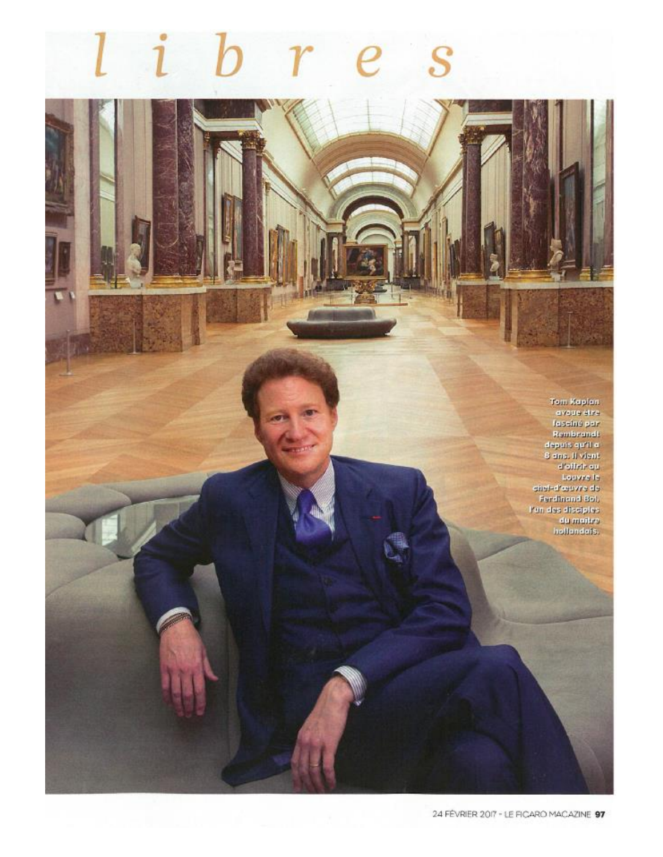Tom Kaplen divelop atra-Fascine per<br>Fascine per<br>Rembrandt<br>deputs qu'il e<br>8 ans. Il vient<br>d'oifrir qu Loavre la distribution of **Rendmend Bol,** Pun des dissiples<br>du maitre<br>hollandais.